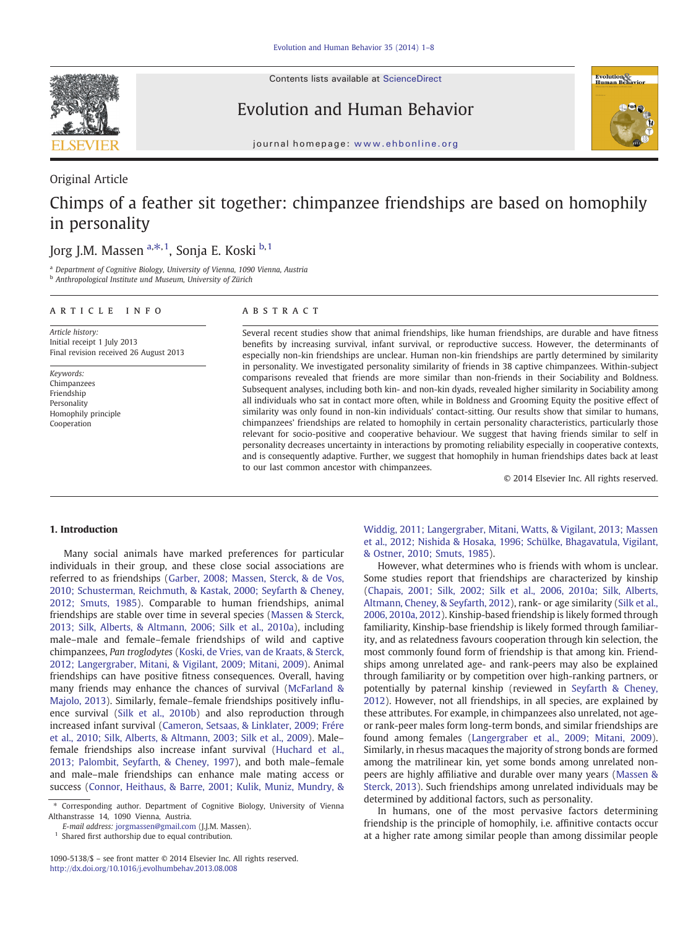

Contents lists available at [ScienceDirect](http://www.sciencedirect.com/science/journal/)

Evolution and Human Behavior



journal homepage: www.ehbonline.org

### Original Article

# Chimps of a feather sit together: chimpanzee friendships are based on homophily in personality

## Jorg J.M. Massen <sup>a, $\ast,1$ </sup>, Sonja E. Koski <sup>b, 1</sup>

<sup>a</sup> Department of Cognitive Biology, University of Vienna, 1090 Vienna, Austria

<sup>b</sup> Anthropological Institute und Museum, University of Zürich

#### article info abstract

Article history: Initial receipt 1 July 2013 Final revision received 26 August 2013

Keywords: Chimpanzees Friendship Personality Homophily principle Cooperation

Several recent studies show that animal friendships, like human friendships, are durable and have fitness benefits by increasing survival, infant survival, or reproductive success. However, the determinants of especially non-kin friendships are unclear. Human non-kin friendships are partly determined by similarity in personality. We investigated personality similarity of friends in 38 captive chimpanzees. Within-subject comparisons revealed that friends are more similar than non-friends in their Sociability and Boldness. Subsequent analyses, including both kin- and non-kin dyads, revealed higher similarity in Sociability among all individuals who sat in contact more often, while in Boldness and Grooming Equity the positive effect of similarity was only found in non-kin individuals' contact-sitting. Our results show that similar to humans, chimpanzees' friendships are related to homophily in certain personality characteristics, particularly those relevant for socio-positive and cooperative behaviour. We suggest that having friends similar to self in personality decreases uncertainty in interactions by promoting reliability especially in cooperative contexts, and is consequently adaptive. Further, we suggest that homophily in human friendships dates back at least to our last common ancestor with chimpanzees.

© 2014 Elsevier Inc. All rights reserved.

### 1. Introduction

Many social animals have marked preferences for particular individuals in their group, and these close social associations are referred to as friendships ([Garber, 2008; Massen, Sterck, & de Vos,](#page-6-0) [2010; Schusterman, Reichmuth, & Kastak, 2000; Seyfarth & Cheney,](#page-6-0) [2012; Smuts, 1985](#page-6-0)). Comparable to human friendships, animal friendships are stable over time in several species [\(Massen & Sterck,](#page-6-0) [2013; Silk, Alberts, & Altmann, 2006; Silk et al., 2010a\)](#page-6-0), including male–male and female–female friendships of wild and captive chimpanzees, Pan troglodytes ([Koski, de Vries, van de Kraats, & Sterck,](#page-6-0) [2012; Langergraber, Mitani, & Vigilant, 2009; Mitani, 2009](#page-6-0)). Animal friendships can have positive fitness consequences. Overall, having many friends may enhance the chances of survival ([McFarland &](#page-6-0) [Majolo, 2013](#page-6-0)). Similarly, female–female friendships positively influence survival ([Silk et al., 2010b](#page-7-0)) and also reproduction through increased infant survival ([Cameron, Setsaas, & Linklater, 2009; Frére](#page-6-0) [et al., 2010; Silk, Alberts, & Altmann, 2003; Silk et al., 2009\)](#page-6-0). Male– female friendships also increase infant survival [\(Huchard et al.,](#page-6-0) [2013; Palombit, Seyfarth, & Cheney, 1997](#page-6-0)), and both male–female and male–male friendships can enhance male mating access or success [\(Connor, Heithaus, & Barre, 2001; Kulik, Muniz, Mundry, &](#page-6-0)

<sup>1</sup> Shared first authorship due to equal contribution.

[Widdig, 2011; Langergraber, Mitani, Watts, & Vigilant, 2013; Massen](#page-6-0) [et al., 2012; Nishida & Hosaka, 1996; Schülke, Bhagavatula, Vigilant,](#page-6-0) [& Ostner, 2010; Smuts, 1985](#page-6-0)).

However, what determines who is friends with whom is unclear. Some studies report that friendships are characterized by kinship [\(Chapais, 2001; Silk, 2002; Silk et al., 2006, 2010a; Silk, Alberts,](#page-6-0) [Altmann, Cheney, & Seyfarth, 2012](#page-6-0)), rank- or age similarity ([Silk et al.,](#page-7-0) [2006, 2010a, 2012](#page-7-0)). Kinship-based friendship is likely formed through familiarity, Kinship-base friendship is likely formed through familiarity, and as relatedness favours cooperation through kin selection, the most commonly found form of friendship is that among kin. Friendships among unrelated age- and rank-peers may also be explained through familiarity or by competition over high-ranking partners, or potentially by paternal kinship (reviewed in [Seyfarth & Cheney,](#page-7-0) [2012\)](#page-7-0). However, not all friendships, in all species, are explained by these attributes. For example, in chimpanzees also unrelated, not ageor rank-peer males form long-term bonds, and similar friendships are found among females ([Langergraber et al., 2009; Mitani, 2009](#page-6-0)). Similarly, in rhesus macaques the majority of strong bonds are formed among the matrilinear kin, yet some bonds among unrelated nonpeers are highly affiliative and durable over many years ([Massen &](#page-6-0) [Sterck, 2013\)](#page-6-0). Such friendships among unrelated individuals may be determined by additional factors, such as personality.

In humans, one of the most pervasive factors determining friendship is the principle of homophily, i.e. affinitive contacts occur at a higher rate among similar people than among dissimilar people

<sup>⁎</sup> Corresponding author. Department of Cognitive Biology, University of Vienna Althanstrasse 14, 1090 Vienna, Austria.

E-mail address: [jorgmassen@gmail.com](mailto:jorgmassen@gmail.com) (J.J.M. Massen).

<sup>1090-5138/\$</sup> – see front matter © 2014 Elsevier Inc. All rights reserved. <http://dx.doi.org/10.1016/j.evolhumbehav.2013.08.008>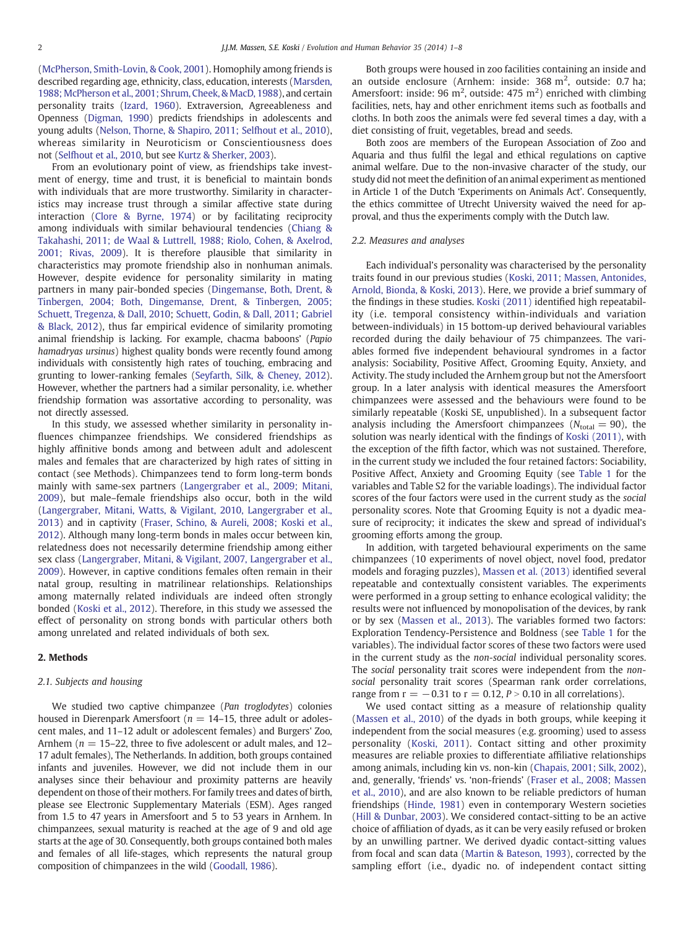([McPherson, Smith-Lovin, & Cook, 2001\)](#page-6-0). Homophily among friends is described regarding age, ethnicity, class, education, interests [\(Marsden,](#page-6-0) [1988; McPherson et al., 2001; Shrum, Cheek, & MacD, 1988](#page-6-0)), and certain personality traits ([Izard, 1960](#page-6-0)). Extraversion, Agreeableness and Openness [\(Digman, 1990](#page-6-0)) predicts friendships in adolescents and young adults [\(Nelson, Thorne, & Shapiro, 2011; Selfhout et al., 2010](#page-7-0)), whereas similarity in Neuroticism or Conscientiousness does not [\(Selfhout et al., 2010](#page-7-0), but see [Kurtz & Sherker, 2003](#page-6-0)).

From an evolutionary point of view, as friendships take investment of energy, time and trust, it is beneficial to maintain bonds with individuals that are more trustworthy. Similarity in characteristics may increase trust through a similar affective state during interaction [\(Clore & Byrne, 1974\)](#page-6-0) or by facilitating reciprocity among individuals with similar behavioural tendencies ([Chiang &](#page-6-0) [Takahashi, 2011; de Waal & Luttrell, 1988; Riolo, Cohen, & Axelrod,](#page-6-0) [2001; Rivas, 2009](#page-6-0)). It is therefore plausible that similarity in characteristics may promote friendship also in nonhuman animals. However, despite evidence for personality similarity in mating partners in many pair-bonded species ([Dingemanse, Both, Drent, &](#page-6-0) [Tinbergen, 2004; Both, Dingemanse, Drent, & Tinbergen, 2005;](#page-6-0) [Schuett, Tregenza, & Dall, 2010](#page-6-0); [Schuett, Godin, & Dall, 2011](#page-7-0); [Gabriel](#page-6-0) [& Black, 2012\)](#page-6-0), thus far empirical evidence of similarity promoting animal friendship is lacking. For example, chacma baboons' (Papio hamadryas ursinus) highest quality bonds were recently found among individuals with consistently high rates of touching, embracing and grunting to lower-ranking females ([Seyfarth, Silk, & Cheney, 2012](#page-7-0)). However, whether the partners had a similar personality, i.e. whether friendship formation was assortative according to personality, was not directly assessed.

In this study, we assessed whether similarity in personality influences chimpanzee friendships. We considered friendships as highly affinitive bonds among and between adult and adolescent males and females that are characterized by high rates of sitting in contact (see Methods). Chimpanzees tend to form long-term bonds mainly with same-sex partners [\(Langergraber et al., 2009; Mitani,](#page-6-0) [2009\)](#page-6-0), but male–female friendships also occur, both in the wild ([Langergraber, Mitani, Watts, & Vigilant, 2010, Langergraber et al.,](#page-6-0) [2013\)](#page-6-0) and in captivity [\(Fraser, Schino, & Aureli, 2008; Koski et al.,](#page-6-0) [2012\)](#page-6-0). Although many long-term bonds in males occur between kin, relatedness does not necessarily determine friendship among either sex class [\(Langergraber, Mitani, & Vigilant, 2007, Langergraber et al.,](#page-6-0) [2009\)](#page-6-0). However, in captive conditions females often remain in their natal group, resulting in matrilinear relationships. Relationships among maternally related individuals are indeed often strongly bonded ([Koski et al., 2012\)](#page-6-0). Therefore, in this study we assessed the effect of personality on strong bonds with particular others both among unrelated and related individuals of both sex.

#### 2. Methods

#### 2.1. Subjects and housing

We studied two captive chimpanzee (Pan troglodytes) colonies housed in Dierenpark Amersfoort ( $n = 14-15$ , three adult or adolescent males, and 11–12 adult or adolescent females) and Burgers' Zoo, Arnhem ( $n = 15-22$ , three to five adolescent or adult males, and 12-17 adult females), The Netherlands. In addition, both groups contained infants and juveniles. However, we did not include them in our analyses since their behaviour and proximity patterns are heavily dependent on those of their mothers. For family trees and dates of birth, please see Electronic Supplementary Materials (ESM). Ages ranged from 1.5 to 47 years in Amersfoort and 5 to 53 years in Arnhem. In chimpanzees, sexual maturity is reached at the age of 9 and old age starts at the age of 30. Consequently, both groups contained both males and females of all life-stages, which represents the natural group composition of chimpanzees in the wild [\(Goodall, 1986](#page-6-0)).

Both groups were housed in zoo facilities containing an inside and an outside enclosure (Arnhem: inside: 368 m<sup>2</sup>, outside: 0.7 ha; Amersfoort: inside:  $96 \text{ m}^2$ , outside:  $475 \text{ m}^2$ ) enriched with climbing facilities, nets, hay and other enrichment items such as footballs and cloths. In both zoos the animals were fed several times a day, with a diet consisting of fruit, vegetables, bread and seeds.

Both zoos are members of the European Association of Zoo and Aquaria and thus fulfil the legal and ethical regulations on captive animal welfare. Due to the non-invasive character of the study, our study did not meet the definition of an animal experiment as mentioned in Article 1 of the Dutch 'Experiments on Animals Act'. Consequently, the ethics committee of Utrecht University waived the need for approval, and thus the experiments comply with the Dutch law.

#### 2.2. Measures and analyses

Each individual's personality was characterised by the personality traits found in our previous studies [\(Koski, 2011; Massen, Antonides,](#page-6-0) [Arnold, Bionda, & Koski, 2013\)](#page-6-0). Here, we provide a brief summary of the findings in these studies. [Koski \(2011\)](#page-6-0) identified high repeatability (i.e. temporal consistency within-individuals and variation between-individuals) in 15 bottom-up derived behavioural variables recorded during the daily behaviour of 75 chimpanzees. The variables formed five independent behavioural syndromes in a factor analysis: Sociability, Positive Affect, Grooming Equity, Anxiety, and Activity. The study included the Arnhem group but not the Amersfoort group. In a later analysis with identical measures the Amersfoort chimpanzees were assessed and the behaviours were found to be similarly repeatable (Koski SE, unpublished). In a subsequent factor analysis including the Amersfoort chimpanzees ( $N_{total} = 90$ ), the solution was nearly identical with the findings of [Koski \(2011\)](#page-6-0), with the exception of the fifth factor, which was not sustained. Therefore, in the current study we included the four retained factors: Sociability, Positive Affect, Anxiety and Grooming Equity (see [Table 1](#page-2-0) for the variables and Table S2 for the variable loadings). The individual factor scores of the four factors were used in the current study as the social personality scores. Note that Grooming Equity is not a dyadic measure of reciprocity; it indicates the skew and spread of individual's grooming efforts among the group.

In addition, with targeted behavioural experiments on the same chimpanzees (10 experiments of novel object, novel food, predator models and foraging puzzles), [Massen et al. \(2013\)](#page-6-0) identified several repeatable and contextually consistent variables. The experiments were performed in a group setting to enhance ecological validity; the results were not influenced by monopolisation of the devices, by rank or by sex ([Massen et al., 2013\)](#page-6-0). The variables formed two factors: Exploration Tendency-Persistence and Boldness (see [Table 1](#page-2-0) for the variables). The individual factor scores of these two factors were used in the current study as the non-social individual personality scores. The social personality trait scores were independent from the nonsocial personality trait scores (Spearman rank order correlations, range from  $r = -0.31$  to  $r = 0.12$ ,  $P > 0.10$  in all correlations).

We used contact sitting as a measure of relationship quality ([Massen et al., 2010\)](#page-6-0) of the dyads in both groups, while keeping it independent from the social measures (e.g. grooming) used to assess personality [\(Koski, 2011](#page-6-0)). Contact sitting and other proximity measures are reliable proxies to differentiate affiliative relationships among animals, including kin vs. non-kin ([Chapais, 2001; Silk, 2002](#page-6-0)), and, generally, 'friends' vs. 'non-friends' [\(Fraser et al., 2008; Massen](#page-6-0) [et al., 2010](#page-6-0)), and are also known to be reliable predictors of human friendships ([Hinde, 1981](#page-6-0)) even in contemporary Western societies ([Hill & Dunbar, 2003\)](#page-6-0). We considered contact-sitting to be an active choice of affiliation of dyads, as it can be very easily refused or broken by an unwilling partner. We derived dyadic contact-sitting values from focal and scan data ([Martin & Bateson, 1993](#page-6-0)), corrected by the sampling effort (i.e., dyadic no. of independent contact sitting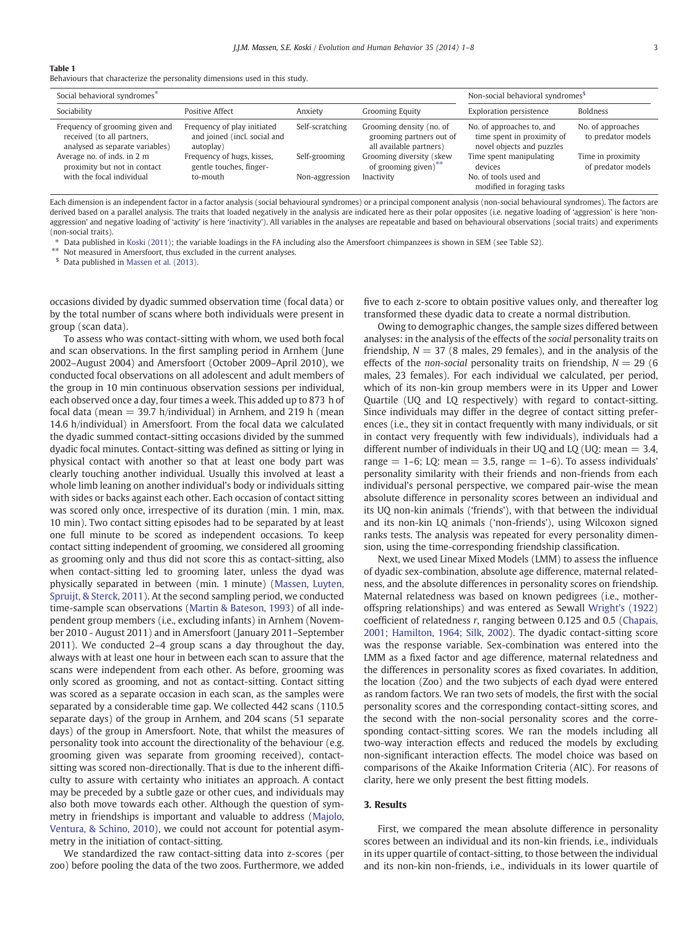#### <span id="page-2-0"></span>Table 1

Behaviours that characterize the personality dimensions used in this study.

| Social behavioral syndromes <sup>®</sup>                                                         | Non-social behavioral syndromes <sup>\$</sup>                            |                 |                                                                                 |                                                                                      |                                         |
|--------------------------------------------------------------------------------------------------|--------------------------------------------------------------------------|-----------------|---------------------------------------------------------------------------------|--------------------------------------------------------------------------------------|-----------------------------------------|
| Sociability                                                                                      | Positive Affect                                                          | Anxiety         | <b>Grooming Equity</b>                                                          | Exploration persistence                                                              | <b>Boldness</b>                         |
| Frequency of grooming given and<br>received (to all partners,<br>analysed as separate variables) | Frequency of play initiated<br>and joined (incl. social and<br>autoplay) | Self-scratching | Grooming density (no. of<br>grooming partners out of<br>all available partners) | No. of approaches to, and<br>time spent in proximity of<br>novel objects and puzzles | No. of approaches<br>to predator models |
| Average no. of inds, in 2 m<br>proximity but not in contact                                      | Frequency of hugs, kisses,<br>gentle touches, finger-                    | Self-grooming   | Grooming diversity (skew<br>of grooming given) $**$                             | Time spent manipulating<br>devices                                                   | Time in proximity<br>of predator models |
| with the focal individual                                                                        | to-mouth                                                                 | Non-aggression  | Inactivity                                                                      | No. of tools used and<br>modified in foraging tasks                                  |                                         |

Each dimension is an independent factor in a factor analysis (social behavioural syndromes) or a principal component analysis (non-social behavioural syndromes). The factors are derived based on a parallel analysis. The traits that loaded negatively in the analysis are indicated here as their polar opposites (i.e. negative loading of 'aggression' is here 'nonaggression' and negative loading of 'activity' is here 'inactivity'). All variables in the analyses are repeatable and based on behavioural observations (social traits) and experiments (non-social traits).

Data published in [Koski \(2011\)](#page-6-0); the variable loadings in the FA including also the Amersfoort chimpanzees is shown in SEM (see Table S2).

\*\* Not measured in Amersfoort, thus excluded in the current analyses.

\$ Data published in [Massen et al. \(2013\)](#page-6-0).

occasions divided by dyadic summed observation time (focal data) or by the total number of scans where both individuals were present in group (scan data).

To assess who was contact-sitting with whom, we used both focal and scan observations. In the first sampling period in Arnhem (June 2002–August 2004) and Amersfoort (October 2009–April 2010), we conducted focal observations on all adolescent and adult members of the group in 10 min continuous observation sessions per individual, each observed once a day, four times a week. This added up to 873 h of focal data (mean  $=$  39.7 h/individual) in Arnhem, and 219 h (mean 14.6 h/individual) in Amersfoort. From the focal data we calculated the dyadic summed contact-sitting occasions divided by the summed dyadic focal minutes. Contact-sitting was defined as sitting or lying in physical contact with another so that at least one body part was clearly touching another individual. Usually this involved at least a whole limb leaning on another individual's body or individuals sitting with sides or backs against each other. Each occasion of contact sitting was scored only once, irrespective of its duration (min. 1 min, max. 10 min). Two contact sitting episodes had to be separated by at least one full minute to be scored as independent occasions. To keep contact sitting independent of grooming, we considered all grooming as grooming only and thus did not score this as contact-sitting, also when contact-sitting led to grooming later, unless the dyad was physically separated in between (min. 1 minute) [\(Massen, Luyten,](#page-6-0) [Spruijt, & Sterck, 2011](#page-6-0)). At the second sampling period, we conducted time-sample scan observations ([Martin & Bateson, 1993\)](#page-6-0) of all independent group members (i.e., excluding infants) in Arnhem (November 2010 - August 2011) and in Amersfoort (January 2011–September 2011). We conducted 2–4 group scans a day throughout the day, always with at least one hour in between each scan to assure that the scans were independent from each other. As before, grooming was only scored as grooming, and not as contact-sitting. Contact sitting was scored as a separate occasion in each scan, as the samples were separated by a considerable time gap. We collected 442 scans (110.5 separate days) of the group in Arnhem, and 204 scans (51 separate days) of the group in Amersfoort. Note, that whilst the measures of personality took into account the directionality of the behaviour (e.g. grooming given was separate from grooming received), contactsitting was scored non-directionally. That is due to the inherent difficulty to assure with certainty who initiates an approach. A contact may be preceded by a subtle gaze or other cues, and individuals may also both move towards each other. Although the question of symmetry in friendships is important and valuable to address ([Majolo,](#page-6-0) [Ventura, & Schino, 2010\)](#page-6-0), we could not account for potential asymmetry in the initiation of contact-sitting.

We standardized the raw contact-sitting data into z-scores (per zoo) before pooling the data of the two zoos. Furthermore, we added

five to each z-score to obtain positive values only, and thereafter log transformed these dyadic data to create a normal distribution.

Owing to demographic changes, the sample sizes differed between analyses: in the analysis of the effects of the social personality traits on friendship,  $N = 37$  (8 males, 29 females), and in the analysis of the effects of the *non-social* personality traits on friendship,  $N = 29$  (6) males, 23 females). For each individual we calculated, per period, which of its non-kin group members were in its Upper and Lower Quartile (UQ and LQ respectively) with regard to contact-sitting. Since individuals may differ in the degree of contact sitting preferences (i.e., they sit in contact frequently with many individuals, or sit in contact very frequently with few individuals), individuals had a different number of individuals in their UQ and LQ (UQ: mean  $=$  3.4, range  $= 1-6$ ; LQ: mean  $= 3.5$ , range  $= 1-6$ ). To assess individuals' personality similarity with their friends and non-friends from each individual's personal perspective, we compared pair-wise the mean absolute difference in personality scores between an individual and its UQ non-kin animals ('friends'), with that between the individual and its non-kin LQ animals ('non-friends'), using Wilcoxon signed ranks tests. The analysis was repeated for every personality dimension, using the time-corresponding friendship classification.

Next, we used Linear Mixed Models (LMM) to assess the influence of dyadic sex-combination, absolute age difference, maternal relatedness, and the absolute differences in personality scores on friendship. Maternal relatedness was based on known pedigrees (i.e., motheroffspring relationships) and was entered as Sewall [Wright's \(1922\)](#page-7-0) coefficient of relatedness r, ranging between 0.125 and 0.5 ([Chapais,](#page-6-0) [2001; Hamilton, 1964; Silk, 2002](#page-6-0)). The dyadic contact-sitting score was the response variable. Sex-combination was entered into the LMM as a fixed factor and age difference, maternal relatedness and the differences in personality scores as fixed covariates. In addition, the location (Zoo) and the two subjects of each dyad were entered as random factors. We ran two sets of models, the first with the social personality scores and the corresponding contact-sitting scores, and the second with the non-social personality scores and the corresponding contact-sitting scores. We ran the models including all two-way interaction effects and reduced the models by excluding non-significant interaction effects. The model choice was based on comparisons of the Akaike Information Criteria (AIC). For reasons of clarity, here we only present the best fitting models.

#### 3. Results

First, we compared the mean absolute difference in personality scores between an individual and its non-kin friends, i.e., individuals in its upper quartile of contact-sitting, to those between the individual and its non-kin non-friends, i.e., individuals in its lower quartile of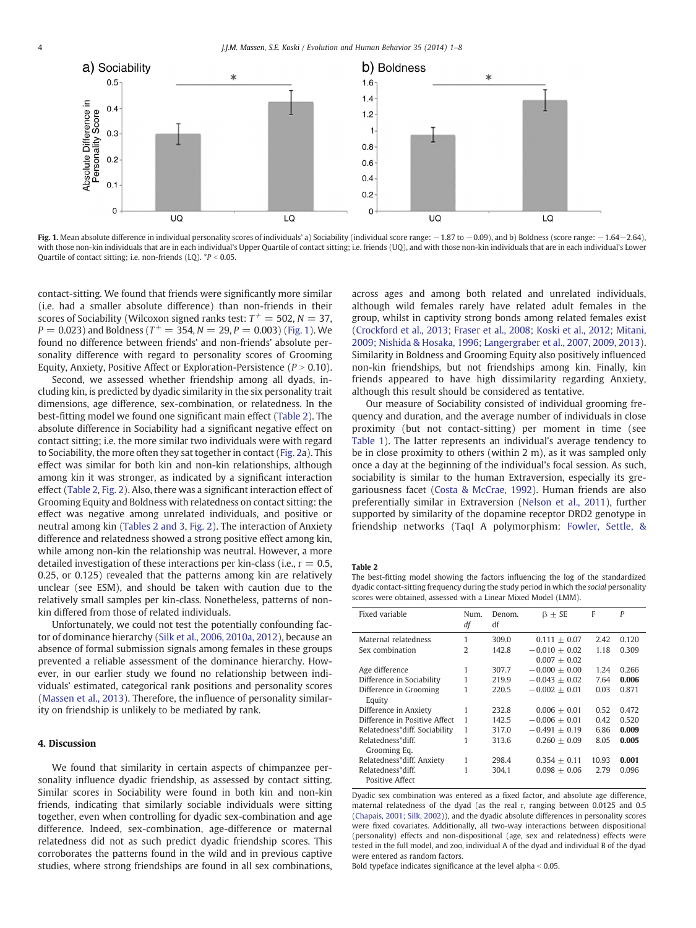<span id="page-3-0"></span>

Fig. 1. Mean absolute difference in individual personality scores of individuals' a) Sociability (individual score range: −1.87 to −0.09), and b) Boldness (score range: −1.64−2.64), with those non-kin individuals that are in each individual's Upper Quartile of contact sitting; i.e. friends (UQ), and with those non-kin individuals that are in each individual's Lower Quartile of contact sitting; i.e. non-friends (LQ).  $*P < 0.05$ .

contact-sitting. We found that friends were significantly more similar (i.e. had a smaller absolute difference) than non-friends in their scores of Sociability (Wilcoxon signed ranks test:  $T^+=$  502,  $N=$  37,  $P = 0.023$ ) and Boldness ( $T^+ = 354$ ,  $N = 29$ ,  $P = 0.003$ ) (Fig. 1). We found no difference between friends' and non-friends' absolute personality difference with regard to personality scores of Grooming Equity, Anxiety, Positive Affect or Exploration-Persistence ( $P > 0.10$ ).

Second, we assessed whether friendship among all dyads, including kin, is predicted by dyadic similarity in the six personality trait dimensions, age difference, sex-combination, or relatedness. In the best-fitting model we found one significant main effect (Table 2). The absolute difference in Sociability had a significant negative effect on contact sitting; i.e. the more similar two individuals were with regard to Sociability, the more often they sat together in contact [\(Fig. 2a](#page-4-0)). This effect was similar for both kin and non-kin relationships, although among kin it was stronger, as indicated by a significant interaction effect (Table 2, [Fig. 2\)](#page-4-0). Also, there was a significant interaction effect of Grooming Equity and Boldness with relatedness on contact sitting: the effect was negative among unrelated individuals, and positive or neutral among kin (Tables 2 and 3, [Fig. 2](#page-4-0)). The interaction of Anxiety difference and relatedness showed a strong positive effect among kin, while among non-kin the relationship was neutral. However, a more detailed investigation of these interactions per kin-class (i.e.,  $r = 0.5$ , 0.25, or 0.125) revealed that the patterns among kin are relatively unclear (see ESM), and should be taken with caution due to the relatively small samples per kin-class. Nonetheless, patterns of nonkin differed from those of related individuals.

Unfortunately, we could not test the potentially confounding factor of dominance hierarchy ([Silk et al., 2006, 2010a, 2012\)](#page-7-0), because an absence of formal submission signals among females in these groups prevented a reliable assessment of the dominance hierarchy. However, in our earlier study we found no relationship between individuals' estimated, categorical rank positions and personality scores ([Massen et al., 2013\)](#page-6-0). Therefore, the influence of personality similarity on friendship is unlikely to be mediated by rank.

#### 4. Discussion

We found that similarity in certain aspects of chimpanzee personality influence dyadic friendship, as assessed by contact sitting. Similar scores in Sociability were found in both kin and non-kin friends, indicating that similarly sociable individuals were sitting together, even when controlling for dyadic sex-combination and age difference. Indeed, sex-combination, age-difference or maternal relatedness did not as such predict dyadic friendship scores. This corroborates the patterns found in the wild and in previous captive studies, where strong friendships are found in all sex combinations,

across ages and among both related and unrelated individuals, although wild females rarely have related adult females in the group, whilst in captivity strong bonds among related females exist ([Crockford et al., 2013; Fraser et al., 2008; Koski et al., 2012; Mitani,](#page-6-0) [2009; Nishida & Hosaka, 1996; Langergraber et al., 2007, 2009, 2013](#page-6-0)). Similarity in Boldness and Grooming Equity also positively influenced non-kin friendships, but not friendships among kin. Finally, kin friends appeared to have high dissimilarity regarding Anxiety, although this result should be considered as tentative.

Our measure of Sociability consisted of individual grooming frequency and duration, and the average number of individuals in close proximity (but not contact-sitting) per moment in time (see [Table 1\)](#page-2-0). The latter represents an individual's average tendency to be in close proximity to others (within 2 m), as it was sampled only once a day at the beginning of the individual's focal session. As such, sociability is similar to the human Extraversion, especially its gregariousness facet ([Costa & McCrae, 1992](#page-6-0)). Human friends are also preferentially similar in Extraversion ([Nelson et al., 2011\)](#page-7-0), further supported by similarity of the dopamine receptor DRD2 genotype in friendship networks (TaqI A polymorphism: [Fowler, Settle, &](#page-6-0)

#### Table 2

The best-fitting model showing the factors influencing the log of the standardized dyadic contact-sitting frequency during the study period in which the social personality scores were obtained, assessed with a Linear Mixed Model (LMM).

| Fixed variable                       | Num.<br>df     | Denom.<br>df | $\beta \pm SE$    | F     | P     |
|--------------------------------------|----------------|--------------|-------------------|-------|-------|
| Maternal relatedness                 | 1              | 309.0        | $0.111 + 0.07$    | 2.42  | 0.120 |
| Sex combination                      | $\mathfrak{D}$ | 142.8        | $-0.010 + 0.02$   | 1.18  | 0.309 |
|                                      |                |              | $0.007 \pm 0.02$  |       |       |
| Age difference                       | 1              | 307.7        | $-0.000 + 0.00$   | 1.24  | 0.266 |
| Difference in Sociability            | 1              | 219.9        | $-0.043 + 0.02$   | 7.64  | 0.006 |
| Difference in Grooming<br>Equity     | 1              | 220.5        | $-0.002 + 0.01$   | 0.03  | 0.871 |
| Difference in Anxiety                | 1              | 232.8        | $0.006 + 0.01$    | 0.52  | 0.472 |
| Difference in Positive Affect        | 1              | 142.5        | $-0.006 \pm 0.01$ | 0.42  | 0.520 |
| Relatedness*diff. Sociability        | 1              | 317.0        | $-0.491 + 0.19$   | 6.86  | 0.009 |
| Relatedness*diff<br>Grooming Eq.     | 1              | 313.6        | $0.260 + 0.09$    | 8.05  | 0.005 |
| Relatedness*diff, Anxiety            | 1              | 298.4        | $0.354 + 0.11$    | 10.93 | 0.001 |
| Relatedness*diff.<br>Positive Affect | 1              | 304.1        | $0.098 + 0.06$    | 2.79  | 0.096 |

Dyadic sex combination was entered as a fixed factor, and absolute age difference, maternal relatedness of the dyad (as the real r, ranging between 0.0125 and 0.5 [\(Chapais, 2001; Silk, 2002\)](#page-6-0)), and the dyadic absolute differences in personality scores were fixed covariates. Additionally, all two-way interactions between dispositional (personality) effects and non-dispositional (age, sex and relatedness) effects were tested in the full model, and zoo, individual A of the dyad and individual B of the dyad were entered as random factors.

Bold typeface indicates significance at the level alpha  $< 0.05$ .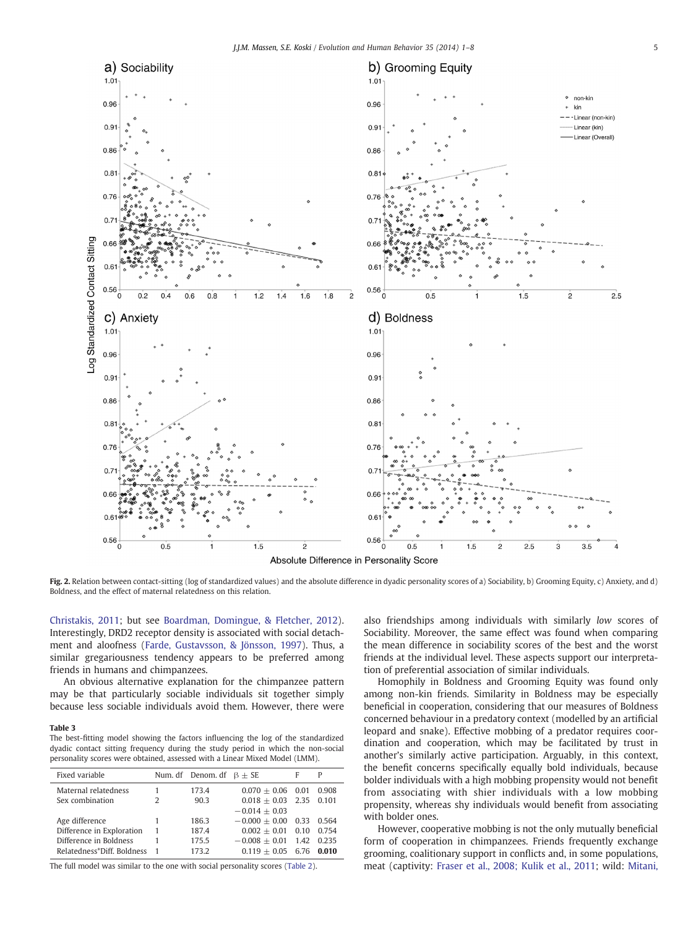<span id="page-4-0"></span>

Fig. 2. Relation between contact-sitting (log of standardized values) and the absolute difference in dyadic personality scores of a) Sociability, b) Grooming Equity, c) Anxiety, and d) Boldness, and the effect of maternal relatedness on this relation.

[Christakis, 2011;](#page-6-0) but see [Boardman, Domingue, & Fletcher, 2012](#page-6-0)). Interestingly, DRD2 receptor density is associated with social detachment and aloofness ([Farde, Gustavsson, & Jönsson, 1997](#page-6-0)). Thus, a similar gregariousness tendency appears to be preferred among friends in humans and chimpanzees.

An obvious alternative explanation for the chimpanzee pattern may be that particularly sociable individuals sit together simply because less sociable individuals avoid them. However, there were

#### Table 3

The best-fitting model showing the factors influencing the log of the standardized dyadic contact sitting frequency during the study period in which the non-social personality scores were obtained, assessed with a Linear Mixed Model (LMM).

| Fixed variable             |               | Num. df Denom. df $\beta \pm SE$ |                       | F    | P     |
|----------------------------|---------------|----------------------------------|-----------------------|------|-------|
| Maternal relatedness       |               | 173.4                            | $0.070 \pm 0.06$ 0.01 |      | 0.908 |
| Sex combination            | $\mathcal{D}$ | 90.3                             | $0.018 + 0.03$ 2.35   |      | 0.101 |
|                            |               |                                  | $-0.014 + 0.03$       |      |       |
| Age difference             |               | 186.3                            | $-0.000 + 0.00$       | 0.33 | 0.564 |
| Difference in Exploration  |               | 187.4                            | $0.002 + 0.01$        | 0.10 | 0.754 |
| Difference in Boldness     |               | 175.5                            | $-0.008 + 0.01$       | 1.42 | 0.235 |
| Relatedness*Diff. Boldness |               | 173.2                            | $0.119 + 0.05$        | 6.76 | 0.010 |

The full model was similar to the one with social personality scores [\(Table 2\)](#page-3-0).

also friendships among individuals with similarly low scores of Sociability. Moreover, the same effect was found when comparing the mean difference in sociability scores of the best and the worst friends at the individual level. These aspects support our interpretation of preferential association of similar individuals.

Homophily in Boldness and Grooming Equity was found only among non-kin friends. Similarity in Boldness may be especially beneficial in cooperation, considering that our measures of Boldness concerned behaviour in a predatory context (modelled by an artificial leopard and snake). Effective mobbing of a predator requires coordination and cooperation, which may be facilitated by trust in another's similarly active participation. Arguably, in this context, the benefit concerns specifically equally bold individuals, because bolder individuals with a high mobbing propensity would not benefit from associating with shier individuals with a low mobbing propensity, whereas shy individuals would benefit from associating with bolder ones.

However, cooperative mobbing is not the only mutually beneficial form of cooperation in chimpanzees. Friends frequently exchange grooming, coalitionary support in conflicts and, in some populations, meat (captivity: [Fraser et al., 2008; Kulik et al., 2011](#page-6-0); wild: [Mitani,](#page-6-0)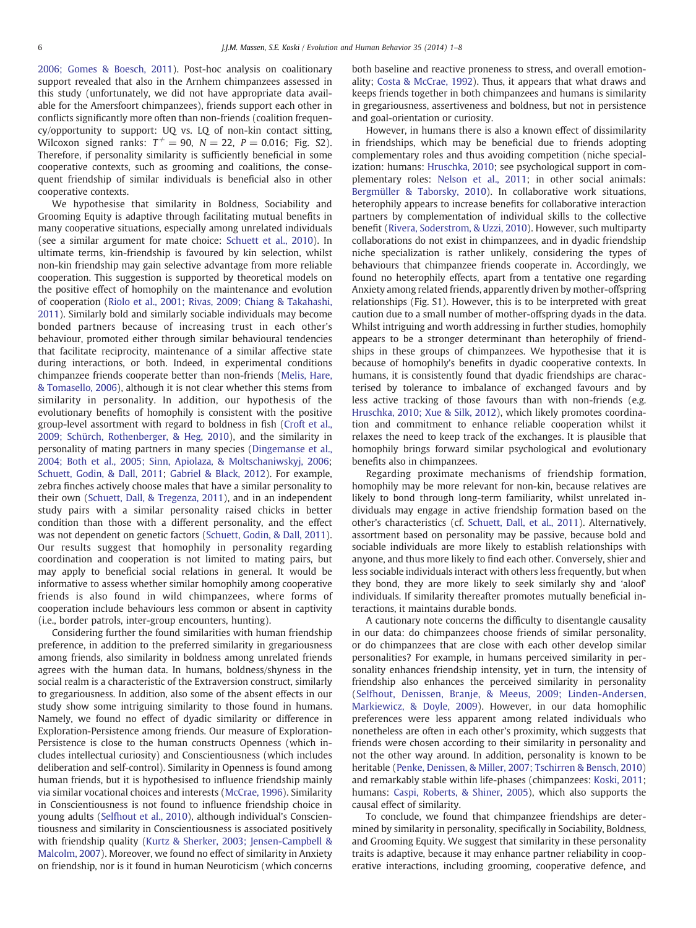[2006; Gomes & Boesch, 2011](#page-6-0)). Post-hoc analysis on coalitionary support revealed that also in the Arnhem chimpanzees assessed in this study (unfortunately, we did not have appropriate data available for the Amersfoort chimpanzees), friends support each other in conflicts significantly more often than non-friends (coalition frequency/opportunity to support: UQ vs. LQ of non-kin contact sitting, Wilcoxon signed ranks:  $T^+=90$ ,  $N=22$ ,  $P=0.016$ ; Fig. S2). Therefore, if personality similarity is sufficiently beneficial in some cooperative contexts, such as grooming and coalitions, the consequent friendship of similar individuals is beneficial also in other cooperative contexts.

We hypothesise that similarity in Boldness, Sociability and Grooming Equity is adaptive through facilitating mutual benefits in many cooperative situations, especially among unrelated individuals (see a similar argument for mate choice: [Schuett et al., 2010](#page-7-0)). In ultimate terms, kin-friendship is favoured by kin selection, whilst non-kin friendship may gain selective advantage from more reliable cooperation. This suggestion is supported by theoretical models on the positive effect of homophily on the maintenance and evolution of cooperation [\(Riolo et al., 2001; Rivas, 2009; Chiang & Takahashi,](#page-7-0) [2011\)](#page-7-0). Similarly bold and similarly sociable individuals may become bonded partners because of increasing trust in each other's behaviour, promoted either through similar behavioural tendencies that facilitate reciprocity, maintenance of a similar affective state during interactions, or both. Indeed, in experimental conditions chimpanzee friends cooperate better than non-friends ([Melis, Hare,](#page-6-0) [& Tomasello, 2006\)](#page-6-0), although it is not clear whether this stems from similarity in personality. In addition, our hypothesis of the evolutionary benefits of homophily is consistent with the positive group-level assortment with regard to boldness in fish ([Croft et al.,](#page-6-0) [2009; Schürch, Rothenberger, & Heg, 2010](#page-6-0)), and the similarity in personality of mating partners in many species [\(Dingemanse et al.,](#page-6-0) [2004; Both et al., 2005; Sinn, Apiolaza, & Moltschaniwskyj, 2006;](#page-6-0) [Schuett, Godin, & Dall, 2011](#page-7-0); [Gabriel & Black, 2012\)](#page-6-0). For example, zebra finches actively choose males that have a similar personality to their own [\(Schuett, Dall, & Tregenza, 2011\)](#page-7-0), and in an independent study pairs with a similar personality raised chicks in better condition than those with a different personality, and the effect was not dependent on genetic factors ([Schuett, Godin, & Dall, 2011](#page-7-0)). Our results suggest that homophily in personality regarding coordination and cooperation is not limited to mating pairs, but may apply to beneficial social relations in general. It would be informative to assess whether similar homophily among cooperative friends is also found in wild chimpanzees, where forms of cooperation include behaviours less common or absent in captivity (i.e., border patrols, inter-group encounters, hunting).

Considering further the found similarities with human friendship preference, in addition to the preferred similarity in gregariousness among friends, also similarity in boldness among unrelated friends agrees with the human data. In humans, boldness/shyness in the social realm is a characteristic of the Extraversion construct, similarly to gregariousness. In addition, also some of the absent effects in our study show some intriguing similarity to those found in humans. Namely, we found no effect of dyadic similarity or difference in Exploration-Persistence among friends. Our measure of Exploration-Persistence is close to the human constructs Openness (which includes intellectual curiosity) and Conscientiousness (which includes deliberation and self-control). Similarity in Openness is found among human friends, but it is hypothesised to influence friendship mainly via similar vocational choices and interests ([McCrae, 1996](#page-6-0)). Similarity in Conscientiousness is not found to influence friendship choice in young adults [\(Selfhout et al., 2010\)](#page-7-0), although individual's Conscientiousness and similarity in Conscientiousness is associated positively with friendship quality ([Kurtz & Sherker, 2003; Jensen-Campbell &](#page-6-0) [Malcolm, 2007\)](#page-6-0). Moreover, we found no effect of similarity in Anxiety on friendship, nor is it found in human Neuroticism (which concerns both baseline and reactive proneness to stress, and overall emotionality; [Costa & McCrae, 1992](#page-6-0)). Thus, it appears that what draws and keeps friends together in both chimpanzees and humans is similarity in gregariousness, assertiveness and boldness, but not in persistence and goal-orientation or curiosity.

However, in humans there is also a known effect of dissimilarity in friendships, which may be beneficial due to friends adopting complementary roles and thus avoiding competition (niche specialization: humans: [Hruschka, 2010;](#page-6-0) see psychological support in complementary roles: [Nelson et al., 2011;](#page-7-0) in other social animals: [Bergmüller & Taborsky, 2010\)](#page-6-0). In collaborative work situations, heterophily appears to increase benefits for collaborative interaction partners by complementation of individual skills to the collective benefit [\(Rivera, Soderstrom, & Uzzi, 2010\)](#page-7-0). However, such multiparty collaborations do not exist in chimpanzees, and in dyadic friendship niche specialization is rather unlikely, considering the types of behaviours that chimpanzee friends cooperate in. Accordingly, we found no heterophily effects, apart from a tentative one regarding Anxiety among related friends, apparently driven by mother-offspring relationships (Fig. S1). However, this is to be interpreted with great caution due to a small number of mother-offspring dyads in the data. Whilst intriguing and worth addressing in further studies, homophily appears to be a stronger determinant than heterophily of friendships in these groups of chimpanzees. We hypothesise that it is because of homophily's benefits in dyadic cooperative contexts. In humans, it is consistently found that dyadic friendships are characterised by tolerance to imbalance of exchanged favours and by less active tracking of those favours than with non-friends (e.g. [Hruschka, 2010; Xue & Silk, 2012\)](#page-6-0), which likely promotes coordination and commitment to enhance reliable cooperation whilst it relaxes the need to keep track of the exchanges. It is plausible that homophily brings forward similar psychological and evolutionary benefits also in chimpanzees.

Regarding proximate mechanisms of friendship formation, homophily may be more relevant for non-kin, because relatives are likely to bond through long-term familiarity, whilst unrelated individuals may engage in active friendship formation based on the other's characteristics (cf. [Schuett, Dall, et al., 2011\)](#page-7-0). Alternatively, assortment based on personality may be passive, because bold and sociable individuals are more likely to establish relationships with anyone, and thus more likely to find each other. Conversely, shier and less sociable individuals interact with others less frequently, but when they bond, they are more likely to seek similarly shy and 'aloof' individuals. If similarity thereafter promotes mutually beneficial interactions, it maintains durable bonds.

A cautionary note concerns the difficulty to disentangle causality in our data: do chimpanzees choose friends of similar personality, or do chimpanzees that are close with each other develop similar personalities? For example, in humans perceived similarity in personality enhances friendship intensity, yet in turn, the intensity of friendship also enhances the perceived similarity in personality (Selfhout, Denissen, Branje, & [Meeus, 2009; Linden-Andersen,](#page-7-0) [Markiewicz, & Doyle, 2009\)](#page-7-0). However, in our data homophilic preferences were less apparent among related individuals who nonetheless are often in each other's proximity, which suggests that friends were chosen according to their similarity in personality and not the other way around. In addition, personality is known to be heritable [\(Penke, Denissen, & Miller, 2007; Tschirren & Bensch, 2010\)](#page-7-0) and remarkably stable within life-phases (chimpanzees: [Koski, 2011;](#page-6-0) humans: [Caspi, Roberts, & Shiner, 2005\)](#page-6-0), which also supports the causal effect of similarity.

To conclude, we found that chimpanzee friendships are determined by similarity in personality, specifically in Sociability, Boldness, and Grooming Equity. We suggest that similarity in these personality traits is adaptive, because it may enhance partner reliability in cooperative interactions, including grooming, cooperative defence, and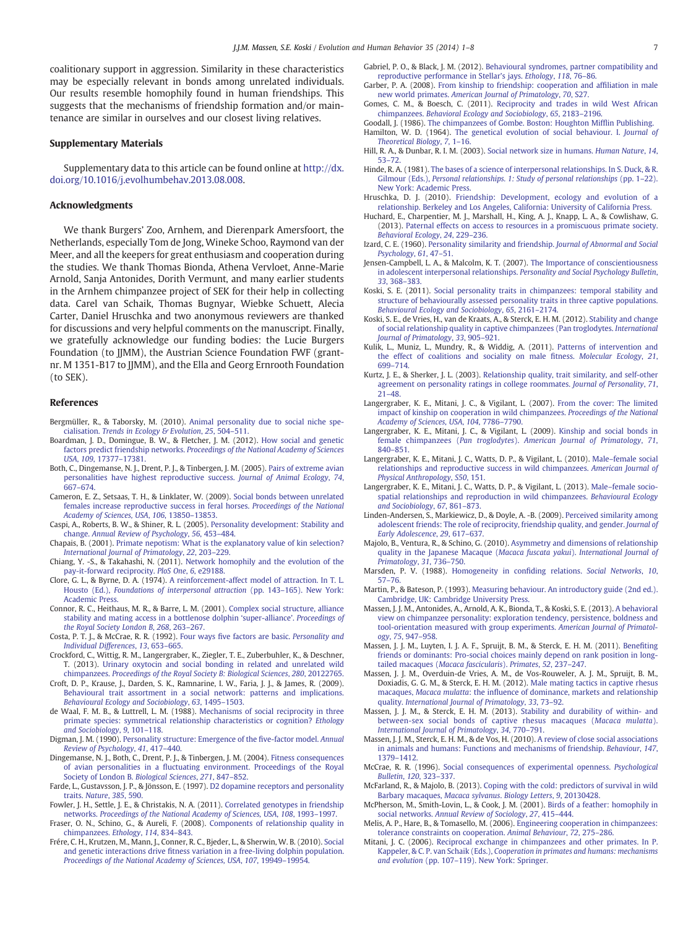<span id="page-6-0"></span>coalitionary support in aggression. Similarity in these characteristics may be especially relevant in bonds among unrelated individuals. Our results resemble homophily found in human friendships. This suggests that the mechanisms of friendship formation and/or maintenance are similar in ourselves and our closest living relatives.

#### Supplementary Materials

Supplementary data to this article can be found online at [http://dx.](http://dx.doi.org/10.1016/j.evolhumbehav.2013.08.008) [doi.org/10.1016/j.evolhumbehav.2013.08.008](http://dx.doi.org/10.1016/j.evolhumbehav.2013.08.008).

#### Acknowledgments

We thank Burgers' Zoo, Arnhem, and Dierenpark Amersfoort, the Netherlands, especially Tom de Jong, Wineke Schoo, Raymond van der Meer, and all the keepers for great enthusiasm and cooperation during the studies. We thank Thomas Bionda, Athena Vervloet, Anne-Marie Arnold, Sanja Antonides, Dorith Vermunt, and many earlier students in the Arnhem chimpanzee project of SEK for their help in collecting data. Carel van Schaik, Thomas Bugnyar, Wiebke Schuett, Alecia Carter, Daniel Hruschka and two anonymous reviewers are thanked for discussions and very helpful comments on the manuscript. Finally, we gratefully acknowledge our funding bodies: the Lucie Burgers Foundation (to JJMM), the Austrian Science Foundation FWF (grantnr. M 1351-B17 to JJMM), and the Ella and Georg Ernrooth Foundation (to SEK).

#### References

- Bergmüller, R., & Taborsky, M. (2010). [Animal personality due to social niche spe](http://refhub.elsevier.com/S1090-5138(13)00092-5/rf0005)cialisation. [Trends in Ecology & Evolution](http://refhub.elsevier.com/S1090-5138(13)00092-5/rf0005), 25, 504–511.
- Boardman, J. D., Domingue, B. W., & Fletcher, J. M. (2012). [How social and genetic](http://refhub.elsevier.com/S1090-5138(13)00092-5/rf0010) factors predict friendship networks. [Proceedings of the National Academy of Sciences](http://refhub.elsevier.com/S1090-5138(13)00092-5/rf0010) USA, 109[, 17377](http://refhub.elsevier.com/S1090-5138(13)00092-5/rf0010)–17381.
- Both, C., Dingemanse, N. J., Drent, P. J., & Tinbergen, J. M. (2005). [Pairs of extreme avian](http://refhub.elsevier.com/S1090-5138(13)00092-5/rf0015) [personalities have highest reproductive success.](http://refhub.elsevier.com/S1090-5138(13)00092-5/rf0015) Journal of Animal Ecology, 74, 667–[674.](http://refhub.elsevier.com/S1090-5138(13)00092-5/rf0015)
- Cameron, E. Z., Setsaas, T. H., & Linklater, W. (2009). [Social bonds between unrelated](http://refhub.elsevier.com/S1090-5138(13)00092-5/rf0020) [females increase reproductive success in feral horses.](http://refhub.elsevier.com/S1090-5138(13)00092-5/rf0020) Proceedings of the National [Academy of Sciences, USA](http://refhub.elsevier.com/S1090-5138(13)00092-5/rf0020), 106, 13850–13853.
- Caspi, A., Roberts, B. W., & Shiner, R. L. (2005). [Personality development: Stability and](http://refhub.elsevier.com/S1090-5138(13)00092-5/rf0025) change. [Annual Review of Psychology](http://refhub.elsevier.com/S1090-5138(13)00092-5/rf0025), 56, 453–484.
- Chapais, B. (2001). [Primate nepotism: What is the explanatory value of kin selection?](http://refhub.elsevier.com/S1090-5138(13)00092-5/rf0030) [International Journal of Primatology](http://refhub.elsevier.com/S1090-5138(13)00092-5/rf0030), 22, 203–229.
- Chiang, Y. -S., & Takahashi, N. (2011). [Network homophily and the evolution of the](http://refhub.elsevier.com/S1090-5138(13)00092-5/rf0035) [pay-it-forward reciprocity.](http://refhub.elsevier.com/S1090-5138(13)00092-5/rf0035) PloS One, 6, e29188.
- Clore, G. L., & Byrne, D. A. (1974). [A reinforcement-affect model of attraction. In T. L.](http://refhub.elsevier.com/S1090-5138(13)00092-5/rf0040) Housto (Ed.), [Foundations of interpersonal attraction](http://refhub.elsevier.com/S1090-5138(13)00092-5/rf0040) (pp. 143–165). New York: [Academic Press.](http://refhub.elsevier.com/S1090-5138(13)00092-5/rf0040)
- Connor, R. C., Heithaus, M. R., & Barre, L. M. (2001). [Complex social structure, alliance](http://refhub.elsevier.com/S1090-5138(13)00092-5/rf0045) [stability and mating access in a bottlenose dolphin](http://refhub.elsevier.com/S1090-5138(13)00092-5/rf0045) 'super-alliance'. Proceedings of [the Royal Society London B](http://refhub.elsevier.com/S1090-5138(13)00092-5/rf0045), 268, 263–267.
- Costa, P. T. J., & McCrae, R. R. (1992). Four ways fi[ve factors are basic.](http://refhub.elsevier.com/S1090-5138(13)00092-5/rf0050) Personality and [Individual Differences](http://refhub.elsevier.com/S1090-5138(13)00092-5/rf0050), 13, 653–665.
- Crockford, C., Wittig, R. M., Langergraber, K., Ziegler, T. E., Zuberbuhler, K., & Deschner, T. (2013). [Urinary oxytocin and social bonding in related and unrelated wild](http://refhub.elsevier.com/S1090-5138(13)00092-5/rf0060) chimpanzees. [Proceedings of the Royal Society B: Biological Sciences](http://refhub.elsevier.com/S1090-5138(13)00092-5/rf0060), 280, 20122765.
- Croft, D. P., Krause, J., Darden, S. K., Ramnarine, I. W., Faria, J. J., & James, R. (2009). [Behavioural trait assortment in a social network: patterns and implications.](http://refhub.elsevier.com/S1090-5138(13)00092-5/rf0055) [Behavioural Ecology and Sociobiology](http://refhub.elsevier.com/S1090-5138(13)00092-5/rf0055), 63, 1495–1503.
- de Waal, F. M. B., & Luttrell, L. M. (1988). [Mechanisms of social reciprocity in three](http://refhub.elsevier.com/S1090-5138(13)00092-5/rf0400) [primate species: symmetrical relationship characteristics or cognition?](http://refhub.elsevier.com/S1090-5138(13)00092-5/rf0400) Ethology [and Sociobiology](http://refhub.elsevier.com/S1090-5138(13)00092-5/rf0400), 9, 101–118.
- Digman, J. M. (1990). [Personality structure: Emergence of the](http://refhub.elsevier.com/S1090-5138(13)00092-5/rf0065) five-factor model. Annual [Review of Psychology](http://refhub.elsevier.com/S1090-5138(13)00092-5/rf0065), 41, 417–440.
- Dingemanse, N. J., Both, C., Drent, P. J., & Tinbergen, J. M. (2004). [Fitness consequences](http://refhub.elsevier.com/S1090-5138(13)00092-5/rf0070) of avian personalities in a fl[uctuating environment. Proceedings of the Royal](http://refhub.elsevier.com/S1090-5138(13)00092-5/rf0070) [Society of London B.](http://refhub.elsevier.com/S1090-5138(13)00092-5/rf0070) Biological Sciences, 271, 847–852.
- Farde, L., Gustavsson, J. P., & Jönsson, E. (1997). [D2 dopamine receptors and personality](http://refhub.elsevier.com/S1090-5138(13)00092-5/rf0075) traits. [Nature](http://refhub.elsevier.com/S1090-5138(13)00092-5/rf0075), 385, 590.
- Fowler, J. H., Settle, J. E., & Christakis, N. A. (2011). [Correlated genotypes in friendship](http://refhub.elsevier.com/S1090-5138(13)00092-5/rf0080) networks. [Proceedings of the National Academy of Sciences, USA](http://refhub.elsevier.com/S1090-5138(13)00092-5/rf0080), 108, 1993–1997.
- Fraser, O. N., Schino, G., & Aureli, F. (2008). [Components of relationship quality in](http://refhub.elsevier.com/S1090-5138(13)00092-5/rf0085) [chimpanzees.](http://refhub.elsevier.com/S1090-5138(13)00092-5/rf0085) Ethology, 114, 834–843.
- Frére, C. H., Krutzen, M., Mann, J., Conner, R. C., Bjeder, L., & Sherwin, W. B. (2010). [Social](http://refhub.elsevier.com/S1090-5138(13)00092-5/rf0090) and genetic interactions drive fi[tness variation in a free-living dolphin population.](http://refhub.elsevier.com/S1090-5138(13)00092-5/rf0090) [Proceedings of the National Academy of Sciences, USA](http://refhub.elsevier.com/S1090-5138(13)00092-5/rf0090), 107, 19949–19954.
- Gabriel, P. O., & Black, J. M. (2012). [Behavioural syndromes, partner compatibility and](http://refhub.elsevier.com/S1090-5138(13)00092-5/rf0095) [reproductive performance in Stellar](http://refhub.elsevier.com/S1090-5138(13)00092-5/rf0095)'s jays. Ethology, 118, 76–86.
- Garber, P. A. (2008). [From kinship to friendship: cooperation and af](http://refhub.elsevier.com/S1090-5138(13)00092-5/rf0100)filiation in male new world primates. [American Journal of Primatology](http://refhub.elsevier.com/S1090-5138(13)00092-5/rf0100), 70, S27.
- Gomes, C. M., & Boesch, C. (2011). [Reciprocity and trades in wild West African](http://refhub.elsevier.com/S1090-5138(13)00092-5/rf0105) chimpanzees. [Behavioral Ecology and Sociobiology](http://refhub.elsevier.com/S1090-5138(13)00092-5/rf0105), 65, 2183–2196. Goodall, J. (1986). [The chimpanzees of Gombe. Boston: Houghton Mif](http://refhub.elsevier.com/S1090-5138(13)00092-5/rf0110)flin Publishing.
- Hamilton, W. D. (1964). [The genetical evolution of social behaviour. I.](http://refhub.elsevier.com/S1090-5138(13)00092-5/rf0115) Journal of [Theoretical Biology](http://refhub.elsevier.com/S1090-5138(13)00092-5/rf0115), 7, 1–16.
- Hill, R. A., & Dunbar, R. I. M. (2003). [Social network size in humans.](http://refhub.elsevier.com/S1090-5138(13)00092-5/rf0125) Human Nature, 14, 53–[72.](http://refhub.elsevier.com/S1090-5138(13)00092-5/rf0125)
- Hinde, R. A. (1981). [The bases of a science of interpersonal relationships. In S. Duck, & R.](http://refhub.elsevier.com/S1090-5138(13)00092-5/rf0130) Gilmour (Eds.), [Personal relationships. 1: Study of personal relationships](http://refhub.elsevier.com/S1090-5138(13)00092-5/rf0130) (pp. 1–22). [New York: Academic Press.](http://refhub.elsevier.com/S1090-5138(13)00092-5/rf0130)
- Hruschka, D. J. (2010). [Friendship: Development, ecology and evolution of a](http://refhub.elsevier.com/S1090-5138(13)00092-5/rf0120) [relationship. Berkeley and Los Angeles, California: University of California Press.](http://refhub.elsevier.com/S1090-5138(13)00092-5/rf0120)
- Huchard, E., Charpentier, M. J., Marshall, H., King, A. J., Knapp, L. A., & Cowlishaw, G. (2013). [Paternal effects on access to resources in a promiscuous primate society.](http://refhub.elsevier.com/S1090-5138(13)00092-5/rf0135) [Behavioral Ecology](http://refhub.elsevier.com/S1090-5138(13)00092-5/rf0135), 24, 229–236.
- Izard, C. E. (1960). [Personality similarity and friendship.](http://refhub.elsevier.com/S1090-5138(13)00092-5/rf0140) Journal of Abnormal and Social [Psychology](http://refhub.elsevier.com/S1090-5138(13)00092-5/rf0140), 61, 47–51.
- Jensen-Campbell, L. A., & Malcolm, K. T. (2007). [The Importance of conscientiousness](http://refhub.elsevier.com/S1090-5138(13)00092-5/rf0145) [in adolescent interpersonal relationships.](http://refhub.elsevier.com/S1090-5138(13)00092-5/rf0145) Personality and Social Psychology Bulletin, 33[, 368](http://refhub.elsevier.com/S1090-5138(13)00092-5/rf0145)–383.
- Koski, S. E. (2011). [Social personality traits in chimpanzees: temporal stability and](http://refhub.elsevier.com/S1090-5138(13)00092-5/rf0150) [structure of behaviourally assessed personality traits in three captive populations.](http://refhub.elsevier.com/S1090-5138(13)00092-5/rf0150) [Behavioural Ecology and Sociobiology](http://refhub.elsevier.com/S1090-5138(13)00092-5/rf0150), 65, 2161–2174.
- Koski, S. E., de Vries, H., van de Kraats, A., & Sterck, E. H. M. (2012). [Stability and change](http://refhub.elsevier.com/S1090-5138(13)00092-5/rf0155) [of social relationship quality in captive chimpanzees \(Pan troglodytes.](http://refhub.elsevier.com/S1090-5138(13)00092-5/rf0155) International [Journal of Primatology](http://refhub.elsevier.com/S1090-5138(13)00092-5/rf0155), 33, 905–921.
- Kulik, L., Muniz, L., Mundry, R., & Widdig, A. (2011). [Patterns of intervention and](http://refhub.elsevier.com/S1090-5138(13)00092-5/rf0160) [the effect of coalitions and sociality on male](http://refhub.elsevier.com/S1090-5138(13)00092-5/rf0160) fitness. Molecular Ecology, 21, 699–[714.](http://refhub.elsevier.com/S1090-5138(13)00092-5/rf0160)
- Kurtz, J. E., & Sherker, J. L. (2003). [Relationship quality, trait similarity, and self-other](http://refhub.elsevier.com/S1090-5138(13)00092-5/rf0165) [agreement on personality ratings in college roommates.](http://refhub.elsevier.com/S1090-5138(13)00092-5/rf0165) Journal of Personality, 71, 21–[48.](http://refhub.elsevier.com/S1090-5138(13)00092-5/rf0165)
- Langergraber, K. E., Mitani, J. C., & Vigilant, L. (2007). [From the cover: The limited](http://refhub.elsevier.com/S1090-5138(13)00092-5/rf0170) [impact of kinship on cooperation in wild chimpanzees.](http://refhub.elsevier.com/S1090-5138(13)00092-5/rf0170) Proceedings of the National [Academy of Sciences, USA](http://refhub.elsevier.com/S1090-5138(13)00092-5/rf0170), 104, 7786–7790.
- Langergraber, K. E., Mitani, J. C., & Vigilant, L. (2009). [Kinship and social bonds in](http://refhub.elsevier.com/S1090-5138(13)00092-5/rf0175) female chimpanzees (Pan troglodytes). [American Journal of Primatology](http://refhub.elsevier.com/S1090-5138(13)00092-5/rf0175), 71, 840–[851.](http://refhub.elsevier.com/S1090-5138(13)00092-5/rf0175)
- Langergraber, K. E., Mitani, J. C., Watts, D. P., & Vigilant, L. (2010). Male–[female social](http://refhub.elsevier.com/S1090-5138(13)00092-5/rf0180) [relationships and reproductive success in wild chimpanzees.](http://refhub.elsevier.com/S1090-5138(13)00092-5/rf0180) American Journal of [Physical Anthropology](http://refhub.elsevier.com/S1090-5138(13)00092-5/rf0180), S50, 151.
- Langergraber, K. E., Mitani, J. C., Watts, D. P., & Vigilant, L. (2013). Male–[female socio](http://refhub.elsevier.com/S1090-5138(13)00092-5/rf0185)[spatial relationships and reproduction in wild chimpanzees.](http://refhub.elsevier.com/S1090-5138(13)00092-5/rf0185) Behavioural Ecology [and Sociobiology](http://refhub.elsevier.com/S1090-5138(13)00092-5/rf0185), 67, 861–873.
- Linden-Andersen, S., Markiewicz, D., & Doyle, A. -B. (2009). [Perceived similarity among](http://refhub.elsevier.com/S1090-5138(13)00092-5/rf0190) [adolescent friends: The role of reciprocity, friendship quality, and gender.](http://refhub.elsevier.com/S1090-5138(13)00092-5/rf0190) Journal of [Early Adolescence](http://refhub.elsevier.com/S1090-5138(13)00092-5/rf0190), 29, 617–637.
- Majolo, B., Ventura, R., & Schino, G. (2010). [Asymmetry and dimensions of relationship](http://refhub.elsevier.com/S1090-5138(13)00092-5/rf0195) [quality in the Japanese Macaque \(](http://refhub.elsevier.com/S1090-5138(13)00092-5/rf0195)Macaca fuscata yakui). International Journal of [Primatology](http://refhub.elsevier.com/S1090-5138(13)00092-5/rf0195), 31, 736–750.
- Marsden, P. V. (1988). [Homogeneity in con](http://refhub.elsevier.com/S1090-5138(13)00092-5/rf0215)fiding relations. Social Networks, 10, 57–[76.](http://refhub.elsevier.com/S1090-5138(13)00092-5/rf0215)
- Martin, P., & Bateson, P. (1993). [Measuring behaviour. An introductory guide \(2nd ed.\).](http://refhub.elsevier.com/S1090-5138(13)00092-5/rf0220) [Cambridge, UK: Cambridge University Press.](http://refhub.elsevier.com/S1090-5138(13)00092-5/rf0220)
- Massen, J. J. M., Antonides, A., Arnold, A. K., Bionda, T., & Koski, S. E. (2013). [A behavioral](http://refhub.elsevier.com/S1090-5138(13)00092-5/rf0245) [view on chimpanzee personality: exploration tendency, persistence, boldness and](http://refhub.elsevier.com/S1090-5138(13)00092-5/rf0245) [tool-orientation measured with group experiments.](http://refhub.elsevier.com/S1090-5138(13)00092-5/rf0245) American Journal of Primatology, 75[, 947](http://refhub.elsevier.com/S1090-5138(13)00092-5/rf0245)–958.
- Massen, J. J. M., Luyten, I. J. A. F., Spruijt, B. M., & Sterck, E. H. M. (2011). [Bene](http://refhub.elsevier.com/S1090-5138(13)00092-5/rf0235)fiting [friends or dominants: Pro-social choices mainly depend on rank position in long](http://refhub.elsevier.com/S1090-5138(13)00092-5/rf0235)tailed macaques ([Macaca fascicularis](http://refhub.elsevier.com/S1090-5138(13)00092-5/rf0235)). Primates, 52, 237–247.
- Massen, J. J. M., Overduin-de Vries, A. M., de Vos-Rouweler, A. J. M., Spruijt, B. M., Doxiadis, G. G. M., & Sterck, E. H. M. (2012). [Male mating tactics in captive rhesus](http://refhub.elsevier.com/S1090-5138(13)00092-5/rf0240) macaques, Macaca mulatta: the infl[uence of dominance, markets and relationship](http://refhub.elsevier.com/S1090-5138(13)00092-5/rf0240) quality. [International Journal of Primatology](http://refhub.elsevier.com/S1090-5138(13)00092-5/rf0240), 33, 73–92.
- Massen, J. J. M., & Sterck, E. H. M. (2013). [Stability and durability of within- and](http://refhub.elsevier.com/S1090-5138(13)00092-5/rf0225) [between-sex social bonds of captive rhesus macaques \(](http://refhub.elsevier.com/S1090-5138(13)00092-5/rf0225)Macaca mulatta). [International Journal of Primatology](http://refhub.elsevier.com/S1090-5138(13)00092-5/rf0225), 34, 770–791.
- Massen, J. J. M., Sterck, E. H. M., & de Vos, H. (2010). [A review of close social associations](http://refhub.elsevier.com/S1090-5138(13)00092-5/rf0230) [in animals and humans: Functions and mechanisms of friendship.](http://refhub.elsevier.com/S1090-5138(13)00092-5/rf0230) Behaviour, 147, 1379–[1412.](http://refhub.elsevier.com/S1090-5138(13)00092-5/rf0230)
- McCrae, R. R. (1996). [Social consequences of experimental openness.](http://refhub.elsevier.com/S1090-5138(13)00092-5/rf0200) Psychological [Bulletin](http://refhub.elsevier.com/S1090-5138(13)00092-5/rf0200), 120, 323–337.
- McFarland, R., & Majolo, B. (2013). [Coping with the cold: predictors of survival in wild](http://refhub.elsevier.com/S1090-5138(13)00092-5/rf0205) [Barbary macaques,](http://refhub.elsevier.com/S1090-5138(13)00092-5/rf0205) Macaca sylvanus. Biology Letters, 9, 20130428.
- McPherson, M., Smith-Lovin, L., & Cook, J. M. (2001). [Birds of a feather: homophily in](http://refhub.elsevier.com/S1090-5138(13)00092-5/rf0210) social networks. [Annual Review of Sociology](http://refhub.elsevier.com/S1090-5138(13)00092-5/rf0210), 27, 415–444.
- Melis, A. P., Hare, B., & Tomasello, M. (2006). [Engineering cooperation in chimpanzees:](http://refhub.elsevier.com/S1090-5138(13)00092-5/rf0250) [tolerance constraints on cooperation.](http://refhub.elsevier.com/S1090-5138(13)00092-5/rf0250) Animal Behaviour, 72, 275–286.
- Mitani, J. C. (2006). [Reciprocal exchange in chimpanzees and other primates. In P.](http://refhub.elsevier.com/S1090-5138(13)00092-5/rf0255) Kappeler, & C. P. van Schaik (Eds.), [Cooperation in primates and humans: mechanisms](http://refhub.elsevier.com/S1090-5138(13)00092-5/rf0255) and evolution (pp. 107–[119\). New York: Springer.](http://refhub.elsevier.com/S1090-5138(13)00092-5/rf0255)